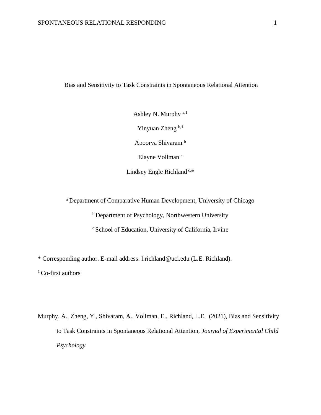# Bias and Sensitivity to Task Constraints in Spontaneous Relational Attention

Ashley N. Murphy a,1 Yinyuan Zheng b,1 Apoorva Shivaram <sup>b</sup> Elayne Vollman <sup>a</sup>

Lindsey Engle Richland<sup>c,\*</sup>

<sup>a</sup> Department of Comparative Human Development, University of Chicago

<sup>b</sup> Department of Psychology, Northwestern University

<sup>c</sup> School of Education, University of California, Irvine

\* Corresponding author. E-mail address: l.richland@uci.edu (L.E. Richland).

<sup>1</sup> Co-first authors

Murphy, A., Zheng, Y., Shivaram, A., Vollman, E., Richland, L.E. (2021), Bias and Sensitivity to Task Constraints in Spontaneous Relational Attention, *Journal of Experimental Child Psychology*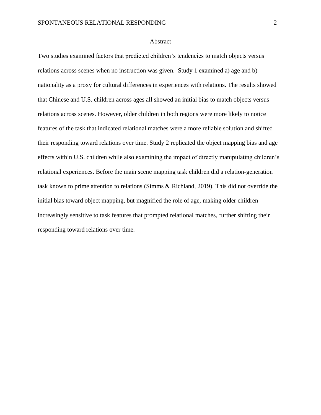#### Abstract

Two studies examined factors that predicted children's tendencies to match objects versus relations across scenes when no instruction was given. Study 1 examined a) age and b) nationality as a proxy for cultural differences in experiences with relations. The results showed that Chinese and U.S. children across ages all showed an initial bias to match objects versus relations across scenes. However, older children in both regions were more likely to notice features of the task that indicated relational matches were a more reliable solution and shifted their responding toward relations over time. Study 2 replicated the object mapping bias and age effects within U.S. children while also examining the impact of directly manipulating children's relational experiences. Before the main scene mapping task children did a relation-generation task known to prime attention to relations (Simms & Richland, 2019). This did not override the initial bias toward object mapping, but magnified the role of age, making older children increasingly sensitive to task features that prompted relational matches, further shifting their responding toward relations over time.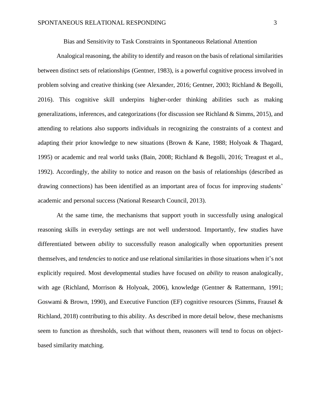Bias and Sensitivity to Task Constraints in Spontaneous Relational Attention

Analogical reasoning, the ability to identify and reason on the basis of relational similarities between distinct sets of relationships (Gentner, 1983), is a powerful cognitive process involved in problem solving and creative thinking (see Alexander, 2016; Gentner, 2003; Richland & Begolli, 2016). This cognitive skill underpins higher-order thinking abilities such as making generalizations, inferences, and categorizations (for discussion see Richland & Simms, 2015), and attending to relations also supports individuals in recognizing the constraints of a context and adapting their prior knowledge to new situations (Brown & Kane, 1988; Holyoak & Thagard, 1995) or academic and real world tasks (Bain, 2008; Richland & Begolli, 2016; Treagust et al., 1992). Accordingly, the ability to notice and reason on the basis of relationships (described as drawing connections) has been identified as an important area of focus for improving students' academic and personal success (National Research Council, 2013).

At the same time, the mechanisms that support youth in successfully using analogical reasoning skills in everyday settings are not well understood. Importantly, few studies have differentiated between *ability* to successfully reason analogically when opportunities present themselves, and *tendencies* to notice and use relational similarities in those situations when it's not explicitly required. Most developmental studies have focused on *ability* to reason analogically, with age (Richland, Morrison & Holyoak, 2006), knowledge (Gentner & Rattermann, 1991; Goswami & Brown, 1990), and Executive Function (EF) cognitive resources (Simms, Frausel & Richland, 2018) contributing to this ability. As described in more detail below, these mechanisms seem to function as thresholds, such that without them, reasoners will tend to focus on objectbased similarity matching.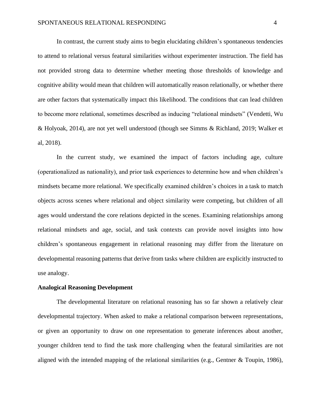In contrast, the current study aims to begin elucidating children's spontaneous tendencies to attend to relational versus featural similarities without experimenter instruction. The field has not provided strong data to determine whether meeting those thresholds of knowledge and cognitive ability would mean that children will automatically reason relationally, or whether there are other factors that systematically impact this likelihood. The conditions that can lead children to become more relational, sometimes described as inducing "relational mindsets" (Vendetti, Wu & Holyoak, 2014), are not yet well understood (though see Simms & Richland, 2019; Walker et al, 2018).

In the current study, we examined the impact of factors including age, culture (operationalized as nationality), and prior task experiences to determine how and when children's mindsets became more relational. We specifically examined children's choices in a task to match objects across scenes where relational and object similarity were competing, but children of all ages would understand the core relations depicted in the scenes. Examining relationships among relational mindsets and age, social, and task contexts can provide novel insights into how children's spontaneous engagement in relational reasoning may differ from the literature on developmental reasoning patterns that derive from tasks where children are explicitly instructed to use analogy.

#### **Analogical Reasoning Development**

The developmental literature on relational reasoning has so far shown a relatively clear developmental trajectory. When asked to make a relational comparison between representations, or given an opportunity to draw on one representation to generate inferences about another, younger children tend to find the task more challenging when the featural similarities are not aligned with the intended mapping of the relational similarities (e.g., Gentner & Toupin, 1986),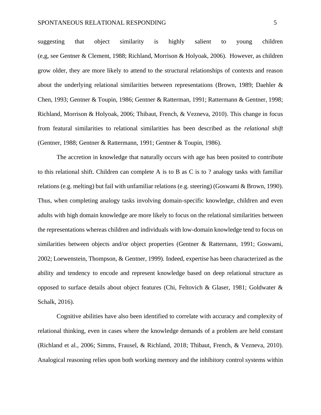suggesting that object similarity is highly salient to young children (e,g, see Gentner & Clement, 1988; Richland, Morrison & Holyoak, 2006). However, as children grow older, they are more likely to attend to the structural relationships of contexts and reason about the underlying relational similarities between representations (Brown, 1989; Daehler & Chen, 1993; Gentner & Toupin, 1986; Gentner & Ratterman, 1991; Rattermann & Gentner, 1998; Richland, Morrison & Holyoak, 2006; Thibaut, French, & Vezneva, 2010). This change in focus from featural similarities to relational similarities has been described as the *relational shift*  (Gentner, 1988; Gentner & Rattermann, 1991; Gentner & Toupin, 1986).

The accretion in knowledge that naturally occurs with age has been posited to contribute to this relational shift. Children can complete A is to B as C is to ? analogy tasks with familiar relations (e.g. melting) but fail with unfamiliar relations (e.g. steering) (Goswami & Brown, 1990). Thus, when completing analogy tasks involving domain-specific knowledge, children and even adults with high domain knowledge are more likely to focus on the relational similarities between the representations whereas children and individuals with low-domain knowledge tend to focus on similarities between objects and/or object properties (Gentner & Ratternann, 1991; Goswami, 2002; Loewenstein, Thompson, & Gentner, 1999). Indeed, expertise has been characterized as the ability and tendency to encode and represent knowledge based on deep relational structure as opposed to surface details about object features (Chi, Feltovich & Glaser, 1981; Goldwater & Schalk, 2016).

Cognitive abilities have also been identified to correlate with accuracy and complexity of relational thinking, even in cases where the knowledge demands of a problem are held constant (Richland et al., 2006; Simms, Frausel, & Richland, 2018; Thibaut, French, & Vezneva, 2010). Analogical reasoning relies upon both working memory and the inhibitory control systems within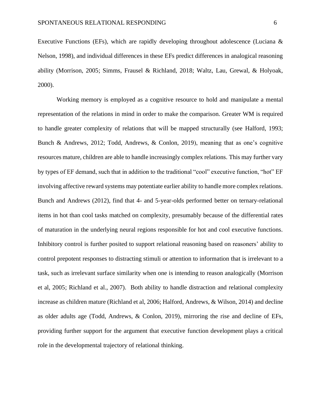Executive Functions (EFs), which are rapidly developing throughout adolescence (Luciana & Nelson, 1998), and individual differences in these EFs predict differences in analogical reasoning ability (Morrison, 2005; Simms, Frausel & Richland, 2018; Waltz, Lau, Grewal, & Holyoak, 2000).

Working memory is employed as a cognitive resource to hold and manipulate a mental representation of the relations in mind in order to make the comparison. Greater WM is required to handle greater complexity of relations that will be mapped structurally (see Halford, 1993; Bunch & Andrews, 2012; Todd, Andrews, & Conlon, 2019), meaning that as one's cognitive resources mature, children are able to handle increasingly complex relations. This may further vary by types of EF demand, such that in addition to the traditional "cool" executive function, "hot" EF involving affective reward systems may potentiate earlier ability to handle more complex relations. Bunch and Andrews (2012), find that 4- and 5-year-olds performed better on ternary-relational items in hot than cool tasks matched on complexity, presumably because of the differential rates of maturation in the underlying neural regions responsible for hot and cool executive functions. Inhibitory control is further posited to support relational reasoning based on reasoners' ability to control prepotent responses to distracting stimuli or attention to information that is irrelevant to a task, such as irrelevant surface similarity when one is intending to reason analogically (Morrison et al, 2005; Richland et al., 2007). Both ability to handle distraction and relational complexity increase as children mature (Richland et al, 2006; Halford, Andrews, & Wilson, 2014) and decline as older adults age (Todd, Andrews, & Conlon, 2019), mirroring the rise and decline of EFs, providing further support for the argument that executive function development plays a critical role in the developmental trajectory of relational thinking.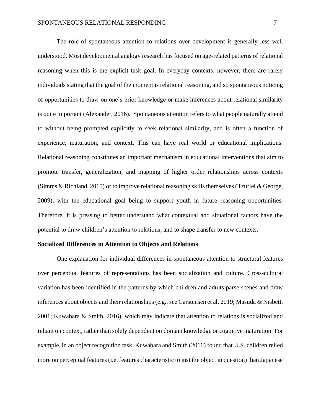The role of spontaneous attention to relations over development is generally less well understood. Most developmental analogy research has focused on age-related patterns of relational reasoning when this is the explicit task goal. In everyday contexts, however, there are rarely individuals stating that the goal of the moment is relational reasoning, and so spontaneous noticing of opportunities to draw on one's prior knowledge or make inferences about relational similarity is quite important (Alexander, 2016). Spontaneous attention refers to what people naturally attend to without being prompted explicitly to seek relational similarity, and is often a function of experience, maturation, and context. This can have real world or educational implications. Relational reasoning constitutes an important mechanism in educational interventions that aim to promote transfer, generalization, and mapping of higher order relationships across contexts (Simms & Richland, 2015) or to improve relational reasoning skills themselves (Tzuriel & George, 2009), with the educational goal being to support youth in future reasoning opportunities. Therefore, it is pressing to better understand what contextual and situational factors have the potential to draw children's attention to relations, and to shape transfer to new contexts.

#### **Socialized Differences in Attention to Objects and Relations**

One explanation for individual differences in spontaneous attention to structural features over perceptual features of representations has been socialization and culture. Cross-cultural variation has been identified in the patterns by which children and adults parse scenes and draw inferences about objects and their relationships (e.g., see Carstensen et al, 2019; Masuda & Nisbett, 2001; Kuwabara & Smith, 2016), which may indicate that attention to relations is socialized and reliant on context, rather than solely dependent on domain knowledge or cognitive maturation. For example, in an object recognition task, Kuwabara and Smith (2016) found that U.S. children relied more on perceptual features (i.e. features characteristic to just the object in question) than Japanese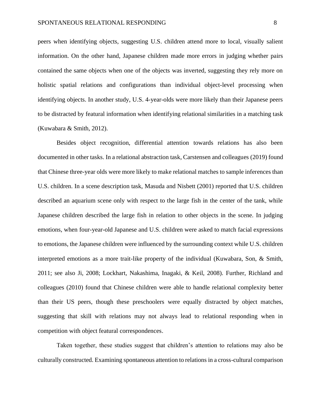peers when identifying objects, suggesting U.S. children attend more to local, visually salient information. On the other hand, Japanese children made more errors in judging whether pairs contained the same objects when one of the objects was inverted, suggesting they rely more on holistic spatial relations and configurations than individual object-level processing when identifying objects. In another study, U.S. 4-year-olds were more likely than their Japanese peers to be distracted by featural information when identifying relational similarities in a matching task (Kuwabara & Smith, 2012).

Besides object recognition, differential attention towards relations has also been documented in other tasks. In a relational abstraction task, Carstensen and colleagues (2019) found that Chinese three-year olds were more likely to make relational matches to sample inferences than U.S. children. In a scene description task, Masuda and Nisbett (2001) reported that U.S. children described an aquarium scene only with respect to the large fish in the center of the tank, while Japanese children described the large fish in relation to other objects in the scene. In judging emotions, when four-year-old Japanese and U.S. children were asked to match facial expressions to emotions, the Japanese children were influenced by the surrounding context while U.S. children interpreted emotions as a more trait-like property of the individual (Kuwabara, Son, & Smith, 2011; see also Ji, 2008; Lockhart, Nakashima, Inagaki, & Keil, 2008). Further, Richland and colleagues (2010) found that Chinese children were able to handle relational complexity better than their US peers, though these preschoolers were equally distracted by object matches, suggesting that skill with relations may not always lead to relational responding when in competition with object featural correspondences.

Taken together, these studies suggest that children's attention to relations may also be culturally constructed. Examining spontaneous attention to relations in a cross-cultural comparison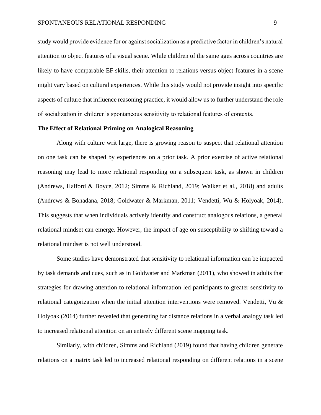study would provide evidence for or against socialization as a predictive factor in children's natural attention to object features of a visual scene. While children of the same ages across countries are likely to have comparable EF skills, their attention to relations versus object features in a scene might vary based on cultural experiences. While this study would not provide insight into specific aspects of culture that influence reasoning practice, it would allow us to further understand the role of socialization in children's spontaneous sensitivity to relational features of contexts.

#### **The Effect of Relational Priming on Analogical Reasoning**

Along with culture writ large, there is growing reason to suspect that relational attention on one task can be shaped by experiences on a prior task. A prior exercise of active relational reasoning may lead to more relational responding on a subsequent task, as shown in children (Andrews, Halford & Boyce, 2012; Simms & Richland, 2019; Walker et al., 2018) and adults (Andrews & Bohadana, 2018; Goldwater & Markman, 2011; Vendetti, Wu & Holyoak, 2014). This suggests that when individuals actively identify and construct analogous relations, a general relational mindset can emerge. However, the impact of age on susceptibility to shifting toward a relational mindset is not well understood.

Some studies have demonstrated that sensitivity to relational information can be impacted by task demands and cues, such as in Goldwater and Markman (2011), who showed in adults that strategies for drawing attention to relational information led participants to greater sensitivity to relational categorization when the initial attention interventions were removed. Vendetti, Vu & Holyoak (2014) further revealed that generating far distance relations in a verbal analogy task led to increased relational attention on an entirely different scene mapping task.

Similarly, with children, Simms and Richland (2019) found that having children generate relations on a matrix task led to increased relational responding on different relations in a scene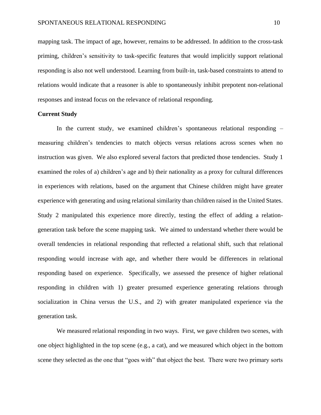mapping task. The impact of age, however, remains to be addressed. In addition to the cross-task priming, children's sensitivity to task-specific features that would implicitly support relational responding is also not well understood. Learning from built-in, task-based constraints to attend to relations would indicate that a reasoner is able to spontaneously inhibit prepotent non-relational responses and instead focus on the relevance of relational responding.

#### **Current Study**

In the current study, we examined children's spontaneous relational responding – measuring children's tendencies to match objects versus relations across scenes when no instruction was given. We also explored several factors that predicted those tendencies. Study 1 examined the roles of a) children's age and b) their nationality as a proxy for cultural differences in experiences with relations, based on the argument that Chinese children might have greater experience with generating and using relational similarity than children raised in the United States. Study 2 manipulated this experience more directly, testing the effect of adding a relationgeneration task before the scene mapping task. We aimed to understand whether there would be overall tendencies in relational responding that reflected a relational shift, such that relational responding would increase with age, and whether there would be differences in relational responding based on experience. Specifically, we assessed the presence of higher relational responding in children with 1) greater presumed experience generating relations through socialization in China versus the U.S., and 2) with greater manipulated experience via the generation task.

We measured relational responding in two ways. First, we gave children two scenes, with one object highlighted in the top scene (e.g., a cat), and we measured which object in the bottom scene they selected as the one that "goes with" that object the best. There were two primary sorts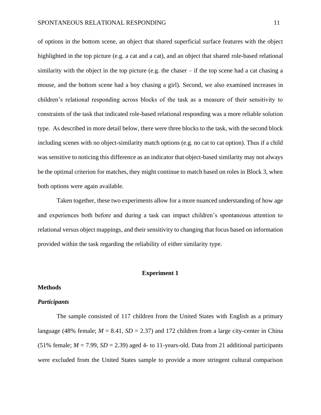of options in the bottom scene, an object that shared superficial surface features with the object highlighted in the top picture (e.g. a cat and a cat), and an object that shared role-based relational similarity with the object in the top picture (e.g. the chaser – if the top scene had a cat chasing a mouse, and the bottom scene had a boy chasing a girl). Second, we also examined increases in children's relational responding across blocks of the task as a measure of their sensitivity to constraints of the task that indicated role-based relational responding was a more reliable solution type. As described in more detail below, there were three blocks to the task, with the second block including scenes with no object-similarity match options (e.g. no cat to cat option). Thus if a child was sensitive to noticing this difference as an indicator that object-based similarity may not always be the optimal criterion for matches, they might continue to match based on roles in Block 3, when both options were again available.

Taken together, these two experiments allow for a more nuanced understanding of how age and experiences both before and during a task can impact children's spontaneous attention to relational versus object mappings, and their sensitivity to changing that focus based on information provided within the task regarding the reliability of either similarity type.

#### **Experiment 1**

## **Methods**

# *Participants*

The sample consisted of 117 children from the United States with English as a primary language (48% female;  $M = 8.41$ ,  $SD = 2.37$ ) and 172 children from a large city-center in China (51% female;  $M = 7.99$ ,  $SD = 2.39$ ) aged 4- to 11-years-old. Data from 21 additional participants were excluded from the United States sample to provide a more stringent cultural comparison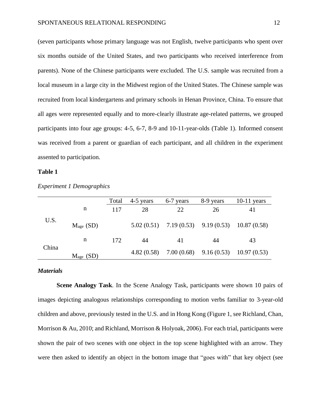(seven participants whose primary language was not English, twelve participants who spent over six months outside of the United States, and two participants who received interference from parents). None of the Chinese participants were excluded. The U.S. sample was recruited from a local museum in a large city in the Midwest region of the United States. The Chinese sample was recruited from local kindergartens and primary schools in Henan Province, China. To ensure that all ages were represented equally and to more-clearly illustrate age-related patterns, we grouped participants into four age groups: 4-5, 6-7, 8-9 and 10-11-year-olds (Table 1). Informed consent was received from a parent or guardian of each participant, and all children in the experiment assented to participation.

#### **Table 1**

|       |             | Total | 4-5 years | 6-7 years | 8-9 years | $10-11$ years                                        |
|-------|-------------|-------|-----------|-----------|-----------|------------------------------------------------------|
|       | n           | 117   | 28        | 22        | 26        | 41                                                   |
| U.S.  | $Mage$ (SD) |       |           |           |           | $5.02(0.51)$ $7.19(0.53)$ $9.19(0.53)$ $10.87(0.58)$ |
|       | n           | 172   | 44        | 41        | 44        | 43                                                   |
| China | $Mage$ (SD) |       |           |           |           | 4.82 (0.58) 7.00 (0.68) 9.16 (0.53) 10.97 (0.53)     |

*Experiment 1 Demographics*

#### *Materials*

**Scene Analogy Task***.* In the Scene Analogy Task, participants were shown 10 pairs of images depicting analogous relationships corresponding to motion verbs familiar to 3-year-old children and above, previously tested in the U.S. and in Hong Kong (Figure 1, see Richland, Chan, Morrison & Au, 2010; and Richland, Morrison & Holyoak, 2006). For each trial, participants were shown the pair of two scenes with one object in the top scene highlighted with an arrow. They were then asked to identify an object in the bottom image that "goes with" that key object (see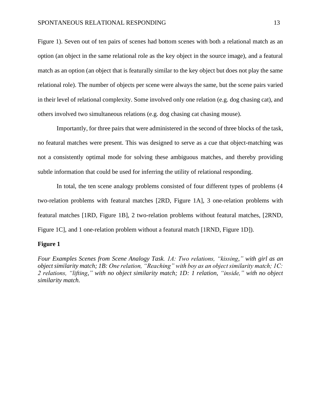Figure 1). Seven out of ten pairs of scenes had bottom scenes with both a relational match as an option (an object in the same relational role as the key object in the source image), and a featural match as an option (an object that is featurally similar to the key object but does not play the same relational role). The number of objects per scene were always the same, but the scene pairs varied in their level of relational complexity. Some involved only one relation (e.g. dog chasing cat), and others involved two simultaneous relations (e.g. dog chasing cat chasing mouse).

Importantly, for three pairs that were administered in the second of three blocks of the task, no featural matches were present. This was designed to serve as a cue that object-matching was not a consistently optimal mode for solving these ambiguous matches, and thereby providing subtle information that could be used for inferring the utility of relational responding.

In total, the ten scene analogy problems consisted of four different types of problems (4 two-relation problems with featural matches [2RD, Figure 1A], 3 one-relation problems with featural matches [1RD, Figure 1B], 2 two-relation problems without featural matches, [2RND, Figure 1C], and 1 one-relation problem without a featural match [1RND, Figure 1D]).

#### **Figure 1**

*Four Examples Scenes from Scene Analogy Task. 1A: Two relations, "kissing," with girl as an object similarity match; 1B: One relation, "Reaching" with boy as an object similarity match; 1C: 2 relations, "lifting," with no object similarity match; 1D: 1 relation, "inside," with no object similarity match.*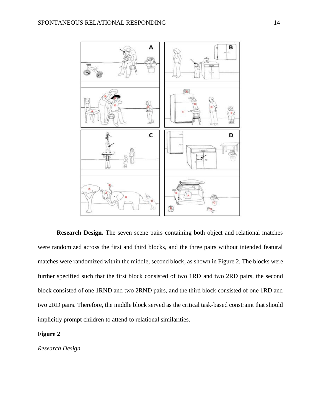

**Research Design.** The seven scene pairs containing both object and relational matches were randomized across the first and third blocks, and the three pairs without intended featural matches were randomized within the middle, second block, as shown in Figure 2. The blocks were further specified such that the first block consisted of two 1RD and two 2RD pairs, the second block consisted of one 1RND and two 2RND pairs, and the third block consisted of one 1RD and two 2RD pairs. Therefore, the middle block served as the critical task-based constraint that should implicitly prompt children to attend to relational similarities.

# **Figure 2**

*Research Design*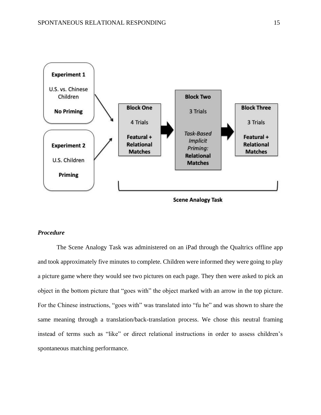

# **Scene Analogy Task**

#### *Procedure*

The Scene Analogy Task was administered on an iPad through the Qualtrics offline app and took approximately five minutes to complete. Children were informed they were going to play a picture game where they would see two pictures on each page. They then were asked to pick an object in the bottom picture that "goes with" the object marked with an arrow in the top picture. For the Chinese instructions, "goes with" was translated into "fu he" and was shown to share the same meaning through a translation/back-translation process. We chose this neutral framing instead of terms such as "like" or direct relational instructions in order to assess children's spontaneous matching performance.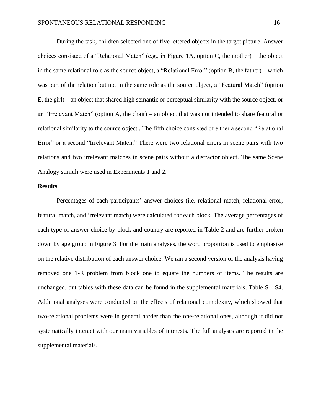During the task, children selected one of five lettered objects in the target picture. Answer choices consisted of a "Relational Match" (e.g., in Figure 1A, option C, the mother) – the object in the same relational role as the source object, a "Relational Error" (option B, the father) – which was part of the relation but not in the same role as the source object, a "Featural Match" (option E, the girl) – an object that shared high semantic or perceptual similarity with the source object, or an "Irrelevant Match" (option A, the chair) – an object that was not intended to share featural or relational similarity to the source object . The fifth choice consisted of either a second "Relational Error" or a second "Irrelevant Match." There were two relational errors in scene pairs with two relations and two irrelevant matches in scene pairs without a distractor object. The same Scene Analogy stimuli were used in Experiments 1 and 2.

#### **Results**

Percentages of each participants' answer choices (i.e. relational match, relational error, featural match, and irrelevant match) were calculated for each block. The average percentages of each type of answer choice by block and country are reported in Table 2 and are further broken down by age group in Figure 3. For the main analyses, the word proportion is used to emphasize on the relative distribution of each answer choice. We ran a second version of the analysis having removed one 1-R problem from block one to equate the numbers of items. The results are unchanged, but tables with these data can be found in the supplemental materials, Table S1–S4. Additional analyses were conducted on the effects of relational complexity, which showed that two-relational problems were in general harder than the one-relational ones, although it did not systematically interact with our main variables of interests. The full analyses are reported in the supplemental materials.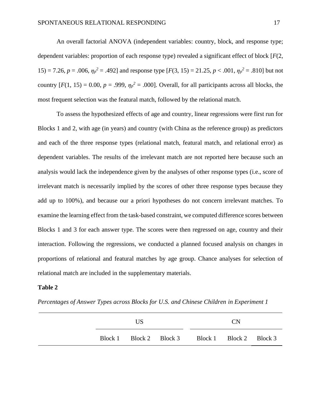An overall factorial ANOVA (independent variables: country, block, and response type; dependent variables: proportion of each response type) revealed a significant effect of block [*F*(2, 15) = 7.26,  $p = .006$ ,  $\eta_p^2 = .492$ ] and response type  $[F(3, 15) = 21.25, p < .001, \eta_p^2 = .810]$  but not country  $[F(1, 15) = 0.00, p = .999, \eta_p^2 = .000]$ . Overall, for all participants across all blocks, the most frequent selection was the featural match, followed by the relational match.

To assess the hypothesized effects of age and country, linear regressions were first run for Blocks 1 and 2, with age (in years) and country (with China as the reference group) as predictors and each of the three response types (relational match, featural match, and relational error) as dependent variables. The results of the irrelevant match are not reported here because such an analysis would lack the independence given by the analyses of other response types (i.e., score of irrelevant match is necessarily implied by the scores of other three response types because they add up to 100%), and because our a priori hypotheses do not concern irrelevant matches. To examine the learning effect from the task-based constraint, we computed difference scores between Blocks 1 and 3 for each answer type. The scores were then regressed on age, country and their interaction. Following the regressions, we conducted a planned focused analysis on changes in proportions of relational and featural matches by age group. Chance analyses for selection of relational match are included in the supplementary materials.

#### **Table 2**

*Percentages of Answer Types across Blocks for U.S. and Chinese Children in Experiment 1*

| US |  |  | <b>CN</b>                                       |  |  |
|----|--|--|-------------------------------------------------|--|--|
|    |  |  | Block 1 Block 2 Block 3 Block 1 Block 2 Block 3 |  |  |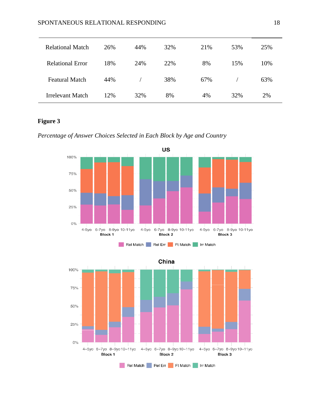| <b>Relational Match</b> | 26% | 44% | 32% | 21% | 53% | 25% |
|-------------------------|-----|-----|-----|-----|-----|-----|
| <b>Relational Error</b> | 18% | 24% | 22% | 8%  | 15% | 10% |
| <b>Featural Match</b>   | 44% |     | 38% | 67% |     | 63% |
| Irrelevant Match        | 12% | 32% | 8%  | 4%  | 32% | 2%  |

# **Figure 3**

*Percentage of Answer Choices Selected in Each Block by Age and Country* 





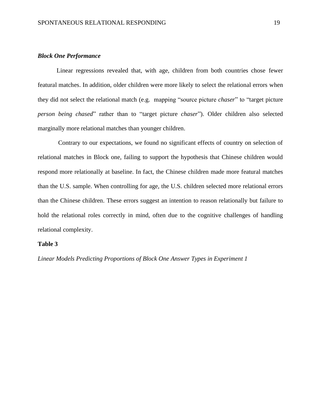## *Block One Performance*

Linear regressions revealed that, with age, children from both countries chose fewer featural matches. In addition, older children were more likely to select the relational errors when they did not select the relational match (e.g. mapping "source picture *chaser*" to "target picture *person being chased*" rather than to "target picture *chaser*"). Older children also selected marginally more relational matches than younger children.

Contrary to our expectations, we found no significant effects of country on selection of relational matches in Block one, failing to support the hypothesis that Chinese children would respond more relationally at baseline. In fact, the Chinese children made more featural matches than the U.S. sample. When controlling for age, the U.S. children selected more relational errors than the Chinese children. These errors suggest an intention to reason relationally but failure to hold the relational roles correctly in mind, often due to the cognitive challenges of handling relational complexity.

#### **Table 3**

*Linear Models Predicting Proportions of Block One Answer Types in Experiment 1*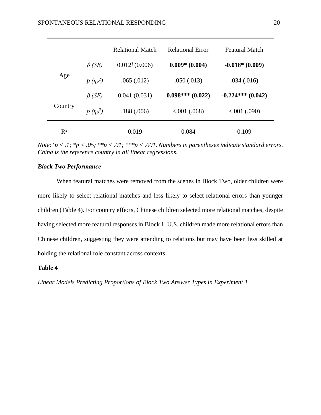|         |               | <b>Relational Match</b>   | <b>Relational Error</b> | <b>Featural Match</b> |
|---------|---------------|---------------------------|-------------------------|-----------------------|
|         | $\beta$ (SE)  | $0.012^{\dagger}$ (0.006) | $0.009*$ (0.004)        | $-0.018*(0.009)$      |
| Age     | $p(\eta_p^2)$ | .065(.012)                | .050(.013)              | .034(.016)            |
|         | $\beta$ (SE)  | 0.041(0.031)              | $0.098***(0.022)$       | $-0.224***(0.042)$    |
| Country | $p(\eta_p^2)$ | .188(.006)                | $0.001$ (.068)          | $0.001$ (.090)        |
| $R^2$   |               | 0.019                     | 0.084                   | 0.109                 |

*Note:*  $\frac{1}{7}p < 0.1$ ;  $\frac{1}{7}p < 0.05$ ;  $\frac{1}{7}p < 0.01$ ;  $\frac{1}{7}p < 0.001$ . *Numbers in parentheses indicate standard errors. China is the reference country in all linear regressions.* 

### *Block Two Performance*

When featural matches were removed from the scenes in Block Two, older children were more likely to select relational matches and less likely to select relational errors than younger children (Table 4). For country effects, Chinese children selected more relational matches, despite having selected more featural responses in Block 1. U.S. children made more relational errors than Chinese children, suggesting they were attending to relations but may have been less skilled at holding the relational role constant across contexts.

# **Table 4**

*Linear Models Predicting Proportions of Block Two Answer Types in Experiment 1*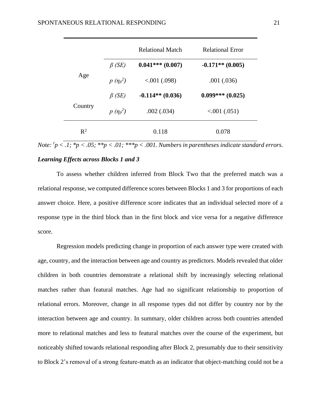|                |               | <b>Relational Match</b> | <b>Relational Error</b> |
|----------------|---------------|-------------------------|-------------------------|
|                | $\beta$ (SE)  | $0.041***(0.007)$       | $-0.171**$ (0.005)      |
| Age            | $p(\eta_p^2)$ | 0.001(0.098)            | .001(.036)              |
|                | $\beta$ (SE)  | $-0.114**$ (0.036)      | $0.099***(0.025)$       |
| Country        | $p(\eta_p^2)$ | .002(.034)              | 0.001(0.051)            |
| $\mathbb{R}^2$ |               | 0.118                   | 0.078                   |

*Note:*  $\frac{1}{p}$   $\lt$  .*1;*  $\frac{k_p}{p}$   $\lt$  .05;  $\frac{k_p}{p}$   $\lt$  .01;  $\frac{k_p}{p}$   $\lt$  .001. Numbers in parentheses indicate standard errors.

# *Learning Effects across Blocks 1 and 3*

To assess whether children inferred from Block Two that the preferred match was a relational response, we computed difference scores between Blocks 1 and 3 for proportions of each answer choice. Here, a positive difference score indicates that an individual selected more of a response type in the third block than in the first block and vice versa for a negative difference score.

Regression models predicting change in proportion of each answer type were created with age, country, and the interaction between age and country as predictors. Models revealed that older children in both countries demonstrate a relational shift by increasingly selecting relational matches rather than featural matches. Age had no significant relationship to proportion of relational errors. Moreover, change in all response types did not differ by country nor by the interaction between age and country. In summary, older children across both countries attended more to relational matches and less to featural matches over the course of the experiment, but noticeably shifted towards relational responding after Block 2, presumably due to their sensitivity to Block 2's removal of a strong feature-match as an indicator that object-matching could not be a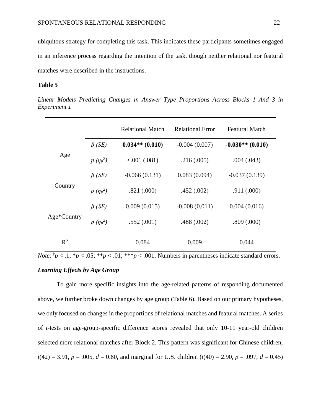ubiquitous strategy for completing this task. This indicates these participants sometimes engaged in an inference process regarding the intention of the task, though neither relational nor featural matches were described in the instructions.

#### **Table 5**

*Linear Models Predicting Changes in Answer Type Proportions Across Blocks 1 And 3 in Experiment 1*

|                |               | <b>Relational Match</b> | <b>Relational Error</b> | <b>Featural Match</b> |
|----------------|---------------|-------------------------|-------------------------|-----------------------|
|                | $\beta$ (SE)  | $0.034**$ (0.010)       | $-0.004(0.007)$         | $-0.030**$ (0.010)    |
| Age            | $p(\eta_p^2)$ | 0.001(0.081)            | .216(.005)              | .004(.043)            |
|                | $\beta$ (SE)  | $-0.066(0.131)$         | 0.083(0.094)            | $-0.037(0.139)$       |
| Country        | $p(\eta_p^2)$ | .821(.000)              | .452(.002)              | .911(.000)            |
|                | $\beta$ (SE)  | 0.009(0.015)            | $-0.008(0.011)$         | 0.004(0.016)          |
| Age*Country    | $p(\eta_p^2)$ | .552(.001)              | .488(.002)              | .809(.000)            |
| $\mathbb{R}^2$ |               | 0.084                   | 0.009                   | 0.044                 |

*Note:*  $\frac{1}{7}p < 0.1$ ;  $\frac{k}{p} < 0.05$ ;  $\frac{k}{p} < 0.01$ ;  $\frac{k}{p} < 0.001$ . Numbers in parentheses indicate standard errors.

# *Learning Effects by Age Group*

To gain more specific insights into the age-related patterns of responding documented above, we further broke down changes by age group (Table 6). Based on our primary hypotheses, we only focused on changes in the proportions of relational matches and featural matches. A series of *t*-tests on age-group-specific difference scores revealed that only 10-11 year-old children selected more relational matches after Block 2. This pattern was significant for Chinese children,  $t(42) = 3.91, p = .005, d = 0.60$ , and marginal for U.S. children  $(t(40) = 2.90, p = .097, d = 0.45)$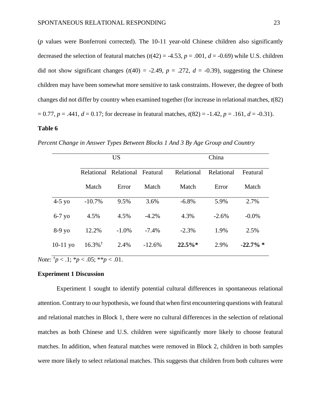(*p* values were Bonferroni corrected). The 10-11 year-old Chinese children also significantly decreased the selection of featural matches  $(t(42) = -4.53, p = .001, d = -0.69)$  while U.S. children did not show significant changes  $(t(40) = -2.49, p = .272, d = -0.39)$ , suggesting the Chinese children may have been somewhat more sensitive to task constraints. However, the degree of both changes did not differ by country when examined together (for increase in relational matches, *t*(82)  $= 0.77, p = .441, d = 0.17$ ; for decrease in featural matches,  $t(82) = -1.42, p = .161, d = -0.31$ ).

# **Table 6**

|            | <b>US</b>             |                                |          | China      |            |             |
|------------|-----------------------|--------------------------------|----------|------------|------------|-------------|
|            |                       | Relational Relational Featural |          | Relational | Relational | Featural    |
|            | Match                 | Error                          | Match    | Match      | Error      | Match       |
| $4-5$ yo   | $-10.7%$              | 9.5%                           | 3.6%     | $-6.8%$    | 5.9%       | 2.7%        |
| $6-7$ yo   | 4.5%                  | 4.5%                           | $-4.2%$  | 4.3%       | $-2.6\%$   | $-0.0\%$    |
| $8-9y$ o   | 12.2%                 | $-1.0\%$                       | $-7.4\%$ | $-2.3%$    | 1.9%       | 2.5%        |
| $10-11$ yo | $16.3\%$ <sup>†</sup> | 2.4%                           | $-12.6%$ | $22.5\%*$  | 2.9%       | $-22.7\%$ * |

*Percent Change in Answer Types Between Blocks 1 And 3 By Age Group and Country*

*Note:*  $\frac{1}{p}$  < .1;  $\frac{1}{p}$  < .05;  $\frac{1}{p}$  < .01.

#### **Experiment 1 Discussion**

Experiment 1 sought to identify potential cultural differences in spontaneous relational attention. Contrary to our hypothesis, we found that when first encountering questions with featural and relational matches in Block 1, there were no cultural differences in the selection of relational matches as both Chinese and U.S. children were significantly more likely to choose featural matches. In addition, when featural matches were removed in Block 2, children in both samples were more likely to select relational matches. This suggests that children from both cultures were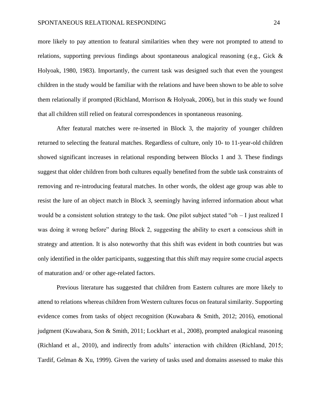#### SPONTANEOUS RELATIONAL RESPONDING 24

more likely to pay attention to featural similarities when they were not prompted to attend to relations, supporting previous findings about spontaneous analogical reasoning (e.g., Gick & Holyoak, 1980, 1983). Importantly, the current task was designed such that even the youngest children in the study would be familiar with the relations and have been shown to be able to solve them relationally if prompted (Richland, Morrison & Holyoak, 2006), but in this study we found that all children still relied on featural correspondences in spontaneous reasoning.

After featural matches were re-inserted in Block 3, the majority of younger children returned to selecting the featural matches. Regardless of culture, only 10- to 11-year-old children showed significant increases in relational responding between Blocks 1 and 3. These findings suggest that older children from both cultures equally benefited from the subtle task constraints of removing and re-introducing featural matches. In other words, the oldest age group was able to resist the lure of an object match in Block 3, seemingly having inferred information about what would be a consistent solution strategy to the task. One pilot subject stated "oh – I just realized I was doing it wrong before" during Block 2, suggesting the ability to exert a conscious shift in strategy and attention. It is also noteworthy that this shift was evident in both countries but was only identified in the older participants, suggesting that this shift may require some crucial aspects of maturation and/ or other age-related factors.

Previous literature has suggested that children from Eastern cultures are more likely to attend to relations whereas children from Western cultures focus on featural similarity. Supporting evidence comes from tasks of object recognition (Kuwabara & Smith, 2012; 2016), emotional judgment (Kuwabara, Son & Smith, 2011; Lockhart et al., 2008), prompted analogical reasoning (Richland et al., 2010), and indirectly from adults' interaction with children (Richland, 2015; Tardif, Gelman & Xu, 1999). Given the variety of tasks used and domains assessed to make this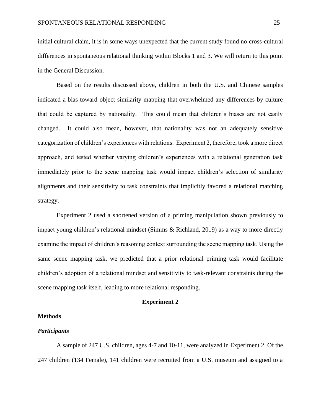initial cultural claim, it is in some ways unexpected that the current study found no cross-cultural differences in spontaneous relational thinking within Blocks 1 and 3. We will return to this point in the General Discussion.

Based on the results discussed above, children in both the U.S. and Chinese samples indicated a bias toward object similarity mapping that overwhelmed any differences by culture that could be captured by nationality. This could mean that children's biases are not easily changed. It could also mean, however, that nationality was not an adequately sensitive categorization of children's experiences with relations. Experiment 2, therefore, took a more direct approach, and tested whether varying children's experiences with a relational generation task immediately prior to the scene mapping task would impact children's selection of similarity alignments and their sensitivity to task constraints that implicitly favored a relational matching strategy.

Experiment 2 used a shortened version of a priming manipulation shown previously to impact young children's relational mindset (Simms & Richland, 2019) as a way to more directly examine the impact of children's reasoning context surrounding the scene mapping task. Using the same scene mapping task, we predicted that a prior relational priming task would facilitate children's adoption of a relational mindset and sensitivity to task-relevant constraints during the scene mapping task itself, leading to more relational responding.

#### **Experiment 2**

#### **Methods**

#### *Participants*

A sample of 247 U.S. children, ages 4-7 and 10-11, were analyzed in Experiment 2. Of the 247 children (134 Female), 141 children were recruited from a U.S. museum and assigned to a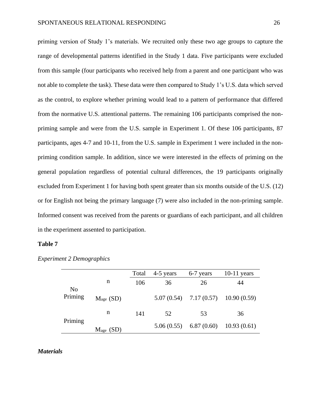priming version of Study 1's materials. We recruited only these two age groups to capture the range of developmental patterns identified in the Study 1 data. Five participants were excluded from this sample (four participants who received help from a parent and one participant who was not able to complete the task). These data were then compared to Study 1's U.S. data which served as the control, to explore whether priming would lead to a pattern of performance that differed from the normative U.S. attentional patterns. The remaining 106 participants comprised the nonpriming sample and were from the U.S. sample in Experiment 1. Of these 106 participants, 87 participants, ages 4-7 and 10-11, from the U.S. sample in Experiment 1 were included in the nonpriming condition sample. In addition, since we were interested in the effects of priming on the general population regardless of potential cultural differences, the 19 participants originally excluded from Experiment 1 for having both spent greater than six months outside of the U.S. (12) or for English not being the primary language (7) were also included in the non-priming sample. Informed consent was received from the parents or guardians of each participant, and all children in the experiment assented to participation.

#### **Table 7**

|                           |             | Total | 4-5 years | 6-7 years                               | $10-11$ years |
|---------------------------|-------------|-------|-----------|-----------------------------------------|---------------|
|                           | n           | 106   | 36        | 26                                      | 44            |
| N <sub>0</sub><br>Priming | $Mage$ (SD) |       |           | $5.07(0.54)$ $7.17(0.57)$ $10.90(0.59)$ |               |
|                           | n           | 141   | 52        | 53                                      | 36            |
| Priming                   | $Mage$ (SD) |       |           | $5.06(0.55)$ 6.87 (0.60)                | 10.93(0.61)   |

*Experiment 2 Demographics*

### *Materials*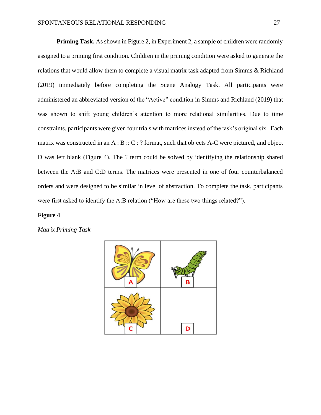**Priming Task.** As shown in Figure 2, in Experiment 2, a sample of children were randomly assigned to a priming first condition. Children in the priming condition were asked to generate the relations that would allow them to complete a visual matrix task adapted from Simms & Richland (2019) immediately before completing the Scene Analogy Task. All participants were administered an abbreviated version of the "Active" condition in Simms and Richland (2019) that was shown to shift young children's attention to more relational similarities. Due to time constraints, participants were given four trials with matrices instead of the task's original six. Each matrix was constructed in an A : B :: C : ? format, such that objects A-C were pictured, and object D was left blank (Figure 4). The ? term could be solved by identifying the relationship shared between the A:B and C:D terms. The matrices were presented in one of four counterbalanced orders and were designed to be similar in level of abstraction. To complete the task, participants were first asked to identify the A:B relation ("How are these two things related?").

#### **Figure 4**

*Matrix Priming Task*

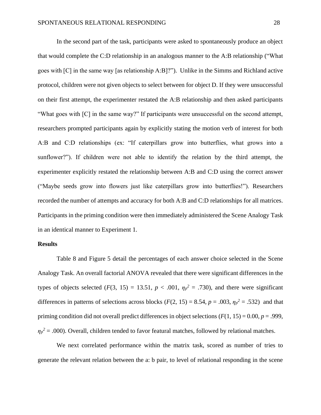In the second part of the task, participants were asked to spontaneously produce an object that would complete the C:D relationship in an analogous manner to the A:B relationship ("What goes with [C] in the same way [as relationship A:B]?"). Unlike in the Simms and Richland active protocol, children were not given objects to select between for object D. If they were unsuccessful on their first attempt, the experimenter restated the A:B relationship and then asked participants "What goes with [C] in the same way?" If participants were unsuccessful on the second attempt, researchers prompted participants again by explicitly stating the motion verb of interest for both A:B and C:D relationships (ex: "If caterpillars grow into butterflies, what grows into a sunflower?"). If children were not able to identify the relation by the third attempt, the experimenter explicitly restated the relationship between A:B and C:D using the correct answer ("Maybe seeds grow into flowers just like caterpillars grow into butterflies!"). Researchers recorded the number of attempts and accuracy for both A:B and C:D relationships for all matrices. Participants in the priming condition were then immediately administered the Scene Analogy Task in an identical manner to Experiment 1.

#### **Results**

Table 8 and Figure 5 detail the percentages of each answer choice selected in the Scene Analogy Task. An overall factorial ANOVA revealed that there were significant differences in the types of objects selected ( $F(3, 15) = 13.51$ ,  $p < .001$ ,  $\eta_p^2 = .730$ ), and there were significant differences in patterns of selections across blocks ( $F(2, 15) = 8.54$ ,  $p = .003$ ,  $\eta_p^2 = .532$ ) and that priming condition did not overall predict differences in object selections (*F*(1, 15) = 0.00, *p* = .999,  $\eta_p^2 = 0.00$ ). Overall, children tended to favor featural matches, followed by relational matches.

We next correlated performance within the matrix task, scored as number of tries to generate the relevant relation between the a: b pair, to level of relational responding in the scene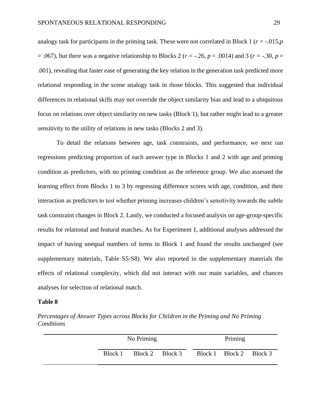analogy task for participants in the priming task. These were not correlated in Block 1 ( $r = -0.015$ ,  $p$ )  $= .067$ ), but there was a negative relationship to Blocks 2 ( $r = -.26$ ,  $p = .0014$ ) and 3 ( $r = -.30$ ,  $p =$ .001), revealing that faster ease of generating the key relation in the generation task predicted more relational responding in the scene analogy task in those blocks. This suggested that individual differences in relational skills may not override the object similarity bias and lead to a ubiquitous focus on relations over object similarity on new tasks (Block 1), but rather might lead to a greater sensitivity to the utility of relations in new tasks (Blocks 2 and 3).

To detail the relations between age, task constraints, and performance, we next ran regressions predicting proportion of each answer type in Blocks 1 and 2 with age and priming condition as predictors, with no priming condition as the reference group. We also assessed the learning effect from Blocks 1 to 3 by regressing difference scores with age, condition, and their interaction as predictors to test whether priming increases children's sensitivity towards the subtle task constraint changes in Block 2. Lastly, we conducted a focused analysis on age-group-specific results for relational and featural matches. As for Experiment 1, additional analyses addressed the impact of having unequal numbers of items in Block 1 and found the results unchanged (see supplementary materials, Table S5-S8). We also reported in the supplementary materials the effects of relational complexity, which did not interact with our main variables, and chances analyses for selection of relational match.

#### **Table 8**

*Percentages of Answer Types across Blocks for Children in the Priming and No Priming Conditions*

| No Priming |  |                 |  | Priming                 |  |
|------------|--|-----------------|--|-------------------------|--|
| Block 1    |  | Block 2 Block 3 |  | Block 1 Block 2 Block 3 |  |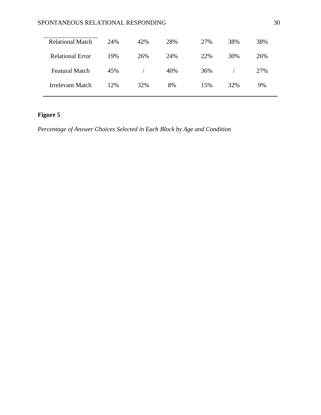# SPONTANEOUS RELATIONAL RESPONDING 30

| <b>Relational Match</b> | 24% | 42% | 28% | 27% | 38% | 38% |
|-------------------------|-----|-----|-----|-----|-----|-----|
| <b>Relational Error</b> | 19% | 26% | 24% | 22% | 30% | 26% |
| <b>Featural Match</b>   | 45% |     | 40% | 36% |     | 27% |
| Irrelevant Match        | 12% | 32% | 8%  | 15% | 32% | 9%  |

# **Figure 5**

*Percentage of Answer Choices Selected in Each Block by Age and Condition*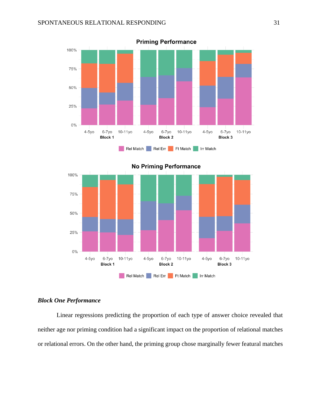



#### *Block One Performance*

Linear regressions predicting the proportion of each type of answer choice revealed that neither age nor priming condition had a significant impact on the proportion of relational matches or relational errors. On the other hand, the priming group chose marginally fewer featural matches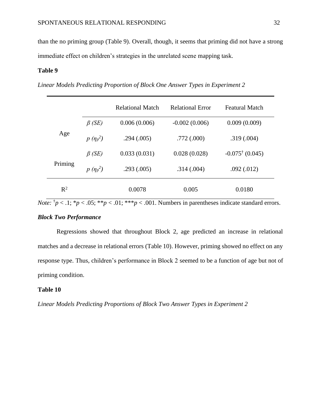than the no priming group (Table 9). Overall, though, it seems that priming did not have a strong immediate effect on children's strategies in the unrelated scene mapping task.

# **Table 9**

*Linear Models Predicting Proportion of Block One Answer Types in Experiment 2*

|                |               | <b>Relational Match</b> | <b>Relational Error</b> | <b>Featural Match</b>      |
|----------------|---------------|-------------------------|-------------------------|----------------------------|
|                | $\beta$ (SE)  | 0.006(0.006)            | $-0.002(0.006)$         | 0.009(0.009)               |
| Age            | $p(\eta_p^2)$ | .294(.005)              | .772(.000)              | .319(.004)                 |
|                | $\beta$ (SE)  | 0.033(0.031)            | 0.028(0.028)            | $-0.075^{\dagger}$ (0.045) |
| Priming        | $p(\eta_p^2)$ | .293(.005)              | .314(.004)              | .092(.012)                 |
| $\mathbb{R}^2$ |               | 0.0078                  | 0.005                   | 0.0180                     |

*Note:*  $\frac{1}{7}p < 0.1$ ;  $\frac{k}{7}p < 0.05$ ;  $\frac{k}{7}p < 0.01$ ;  $\frac{k}{7}p < 0.01$ . Numbers in parentheses indicate standard errors.

# *Block Two Performance*

Regressions showed that throughout Block 2, age predicted an increase in relational matches and a decrease in relational errors (Table 10). However, priming showed no effect on any response type. Thus, children's performance in Block 2 seemed to be a function of age but not of priming condition.

# **Table 10**

*Linear Models Predicting Proportions of Block Two Answer Types in Experiment 2*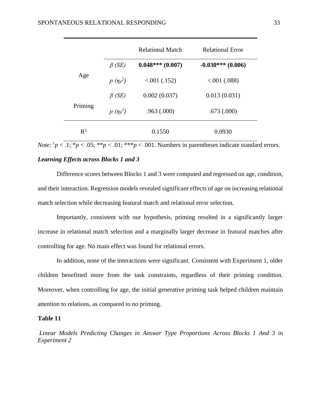|         |               | <b>Relational Match</b> | <b>Relational Error</b> |
|---------|---------------|-------------------------|-------------------------|
|         | $\beta$ (SE)  | $0.048***(0.007)$       | $-0.030***(0.006)$      |
| Age     | $p(\eta_p^2)$ | $< 001$ (.152)          | $0.001$ (.088)          |
|         | $\beta$ (SE)  | 0.002(0.037)            | 0.013(0.031)            |
| Priming | $p(\eta_p^2)$ | .963(.000)              | .673(.000)              |
| $R^2$   |               | 0.1550                  | 0.0930                  |

*Note:*  $\frac{1}{p}$  < .1;  $\frac{k_p}{q}$  < .05;  $\frac{k_p}{q}$  < .01;  $\frac{k_p}{q}$  < .001. Numbers in parentheses indicate standard errors.

### *Learning Effects across Blocks 1 and 3*

Difference scores between Blocks 1 and 3 were computed and regressed on age, condition, and their interaction. Regression models revealed significant effects of age on increasing relational match selection while decreasing featural match and relational error selection.

Importantly, consistent with our hypothesis, priming resulted in a significantly larger increase in relational match selection and a marginally larger decrease in featural matches after controlling for age. No main effect was found for relational errors.

In addition, none of the interactions were significant. Consistent with Experiment 1, older children benefitted more from the task constraints, regardless of their priming condition. Moreover, when controlling for age, the initial generative priming task helped children maintain attention to relations, as compared to no priming.

#### **Table 11**

*Linear Models Predicting Changes in Answer Type Proportions Across Blocks 1 And 3 in Experiment 2*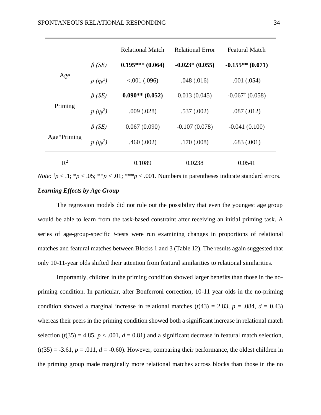|             |               | <b>Relational Match</b> | <b>Relational Error</b> | <b>Featural Match</b>      |
|-------------|---------------|-------------------------|-------------------------|----------------------------|
| Age         | $\beta$ (SE)  | $0.195***(0.064)$       | $-0.023*(0.055)$        | $-0.155**(0.071)$          |
|             | $p(\eta_p^2)$ | $0.001$ (.096)          | .048(.016)              | .001(.054)                 |
| Priming     | $\beta$ (SE)  | $0.090**$ (0.052)       | 0.013(0.045)            | $-0.067^{\dagger}$ (0.058) |
|             | $p(\eta_p^2)$ | .009(.028)              | .537(.002)              | .087(.012)                 |
| Age*Priming | $\beta$ (SE)  | 0.067(0.090)            | $-0.107(0.078)$         | $-0.041(0.100)$            |
|             | $p(\eta_p^2)$ | .460(.002)              | .170(.008)              | .683(.001)                 |
| $R^2$       |               | 0.1089                  | 0.0238                  | 0.0541                     |

*Note:*  $\frac{1}{p}$  < .1;  $\frac{k_p}{s}$  < .05;  $\frac{k_p}{s}$  < .01;  $\frac{k_p}{s}$  < .001. Numbers in parentheses indicate standard errors. *Learning Effects by Age Group*

The regression models did not rule out the possibility that even the youngest age group would be able to learn from the task-based constraint after receiving an initial priming task. A series of age-group-specific *t*-tests were run examining changes in proportions of relational matches and featural matches between Blocks 1 and 3 (Table 12). The results again suggested that only 10-11-year olds shifted their attention from featural similarities to relational similarities.

Importantly, children in the priming condition showed larger benefits than those in the nopriming condition. In particular, after Bonferroni correction, 10-11 year olds in the no-priming condition showed a marginal increase in relational matches  $(t(43) = 2.83, p = .084, d = 0.43)$ whereas their peers in the priming condition showed both a significant increase in relational match selection  $(t(35) = 4.85, p < .001, d = 0.81)$  and a significant decrease in featural match selection,  $(t(35) = -3.61, p = .011, d = -0.60)$ . However, comparing their performance, the oldest children in the priming group made marginally more relational matches across blocks than those in the no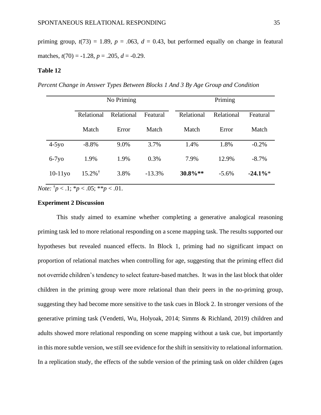priming group,  $t(73) = 1.89$ ,  $p = .063$ ,  $d = 0.43$ , but performed equally on change in featural matches,  $t(70) = -1.28$ ,  $p = .205$ ,  $d = -0.29$ .

#### **Table 12**

*Percent Change in Answer Types Between Blocks 1 And 3 By Age Group and Condition* 

|            | No Priming            |            |          |  | Priming    |            |           |
|------------|-----------------------|------------|----------|--|------------|------------|-----------|
|            | Relational            | Relational | Featural |  | Relational | Relational | Featural  |
|            | Match                 | Error      | Match    |  | Match      | Error      | Match     |
| $4-5y0$    | $-8.8\%$              | 9.0%       | 3.7%     |  | 1.4%       | 1.8%       | $-0.2\%$  |
| $6-7y$     | 1.9%                  | 1.9%       | 0.3%     |  | 7.9%       | 12.9%      | $-8.7\%$  |
| $10-11y$ o | $15.2\%$ <sup>†</sup> | 3.8%       | $-13.3%$ |  | $30.8\%**$ | $-5.6\%$   | $-24.1\%$ |

*Note:*  $^{\dagger}p < 0.1$ ;  $^{\ast}p < 0.05$ ;  $^{\ast}$  $^{\ast}p < 0.01$ .

# **Experiment 2 Discussion**

This study aimed to examine whether completing a generative analogical reasoning priming task led to more relational responding on a scene mapping task. The results supported our hypotheses but revealed nuanced effects. In Block 1, priming had no significant impact on proportion of relational matches when controlling for age, suggesting that the priming effect did not override children's tendency to select feature-based matches. It was in the last block that older children in the priming group were more relational than their peers in the no-priming group, suggesting they had become more sensitive to the task cues in Block 2. In stronger versions of the generative priming task (Vendetti, Wu, Holyoak, 2014; Simms & Richland, 2019) children and adults showed more relational responding on scene mapping without a task cue, but importantly in this more subtle version, we still see evidence for the shift in sensitivity to relational information. In a replication study, the effects of the subtle version of the priming task on older children (ages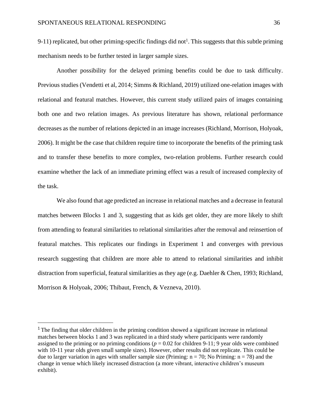9-11) replicated, but other priming-specific findings did not<sup>1</sup>. This suggests that this subtle priming mechanism needs to be further tested in larger sample sizes.

Another possibility for the delayed priming benefits could be due to task difficulty. Previous studies (Vendetti et al, 2014; Simms & Richland, 2019) utilized one-relation images with relational and featural matches. However, this current study utilized pairs of images containing both one and two relation images. As previous literature has shown, relational performance decreases as the number of relations depicted in an image increases (Richland, Morrison, Holyoak, 2006). It might be the case that children require time to incorporate the benefits of the priming task and to transfer these benefits to more complex, two-relation problems. Further research could examine whether the lack of an immediate priming effect was a result of increased complexity of the task.

We also found that age predicted an increase in relational matches and a decrease in featural matches between Blocks 1 and 3, suggesting that as kids get older, they are more likely to shift from attending to featural similarities to relational similarities after the removal and reinsertion of featural matches. This replicates our findings in Experiment 1 and converges with previous research suggesting that children are more able to attend to relational similarities and inhibit distraction from superficial, featural similarities as they age (e.g. Daehler & Chen, 1993; Richland, Morrison & Holyoak, 2006; Thibaut, French, & Vezneva, 2010).

<sup>&</sup>lt;sup>1</sup> The finding that older children in the priming condition showed a significant increase in relational matches between blocks 1 and 3 was replicated in a third study where participants were randomly assigned to the priming or no priming conditions ( $p = 0.02$  for children 9-11; 9 year olds were combined with 10-11 year olds given small sample sizes). However, other results did not replicate. This could be due to larger variation in ages with smaller sample size (Priming:  $n = 70$ ; No Priming:  $n = 78$ ) and the change in venue which likely increased distraction (a more vibrant, interactive children's museum exhibit).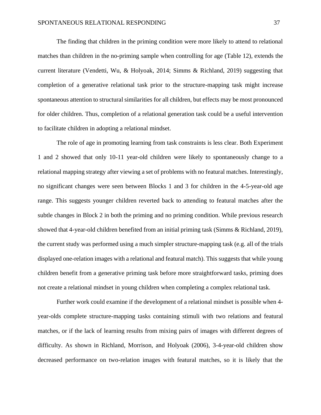The finding that children in the priming condition were more likely to attend to relational matches than children in the no-priming sample when controlling for age (Table 12), extends the current literature (Vendetti, Wu, & Holyoak, 2014; Simms & Richland, 2019) suggesting that completion of a generative relational task prior to the structure-mapping task might increase spontaneous attention to structural similarities for all children, but effects may be most pronounced for older children. Thus, completion of a relational generation task could be a useful intervention to facilitate children in adopting a relational mindset.

The role of age in promoting learning from task constraints is less clear. Both Experiment 1 and 2 showed that only 10-11 year-old children were likely to spontaneously change to a relational mapping strategy after viewing a set of problems with no featural matches. Interestingly, no significant changes were seen between Blocks 1 and 3 for children in the 4-5-year-old age range. This suggests younger children reverted back to attending to featural matches after the subtle changes in Block 2 in both the priming and no priming condition. While previous research showed that 4-year-old children benefited from an initial priming task (Simms & Richland, 2019), the current study was performed using a much simpler structure-mapping task (e.g. all of the trials displayed one-relation images with a relational and featural match). This suggests that while young children benefit from a generative priming task before more straightforward tasks, priming does not create a relational mindset in young children when completing a complex relational task.

Further work could examine if the development of a relational mindset is possible when 4 year-olds complete structure-mapping tasks containing stimuli with two relations and featural matches, or if the lack of learning results from mixing pairs of images with different degrees of difficulty. As shown in Richland, Morrison, and Holyoak (2006), 3-4-year-old children show decreased performance on two-relation images with featural matches, so it is likely that the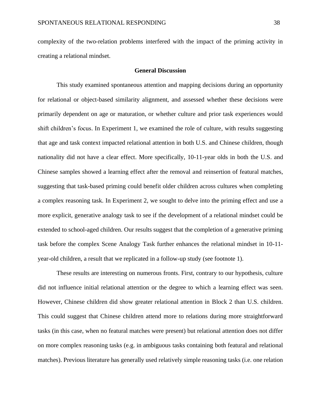complexity of the two-relation problems interfered with the impact of the priming activity in creating a relational mindset.

#### **General Discussion**

This study examined spontaneous attention and mapping decisions during an opportunity for relational or object-based similarity alignment, and assessed whether these decisions were primarily dependent on age or maturation, or whether culture and prior task experiences would shift children's focus. In Experiment 1, we examined the role of culture, with results suggesting that age and task context impacted relational attention in both U.S. and Chinese children, though nationality did not have a clear effect. More specifically, 10-11-year olds in both the U.S. and Chinese samples showed a learning effect after the removal and reinsertion of featural matches, suggesting that task-based priming could benefit older children across cultures when completing a complex reasoning task. In Experiment 2, we sought to delve into the priming effect and use a more explicit, generative analogy task to see if the development of a relational mindset could be extended to school-aged children. Our results suggest that the completion of a generative priming task before the complex Scene Analogy Task further enhances the relational mindset in 10-11 year-old children, a result that we replicated in a follow-up study (see footnote 1).

These results are interesting on numerous fronts. First, contrary to our hypothesis, culture did not influence initial relational attention or the degree to which a learning effect was seen. However, Chinese children did show greater relational attention in Block 2 than U.S. children. This could suggest that Chinese children attend more to relations during more straightforward tasks (in this case, when no featural matches were present) but relational attention does not differ on more complex reasoning tasks (e.g. in ambiguous tasks containing both featural and relational matches). Previous literature has generally used relatively simple reasoning tasks (i.e. one relation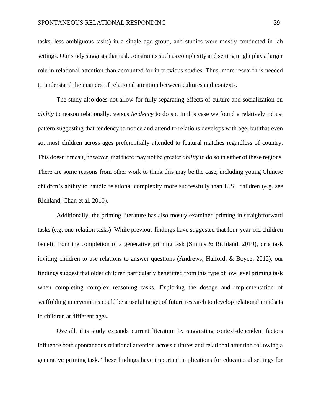tasks, less ambiguous tasks) in a single age group, and studies were mostly conducted in lab settings. Our study suggests that task constraints such as complexity and setting might play a larger role in relational attention than accounted for in previous studies. Thus, more research is needed to understand the nuances of relational attention between cultures and contexts.

The study also does not allow for fully separating effects of culture and socialization on *ability* to reason relationally, versus *tendency* to do so. In this case we found a relatively robust pattern suggesting that tendency to notice and attend to relations develops with age, but that even so, most children across ages preferentially attended to featural matches regardless of country. This doesn't mean, however, that there may not be greater *ability* to do so in either of these regions. There are some reasons from other work to think this may be the case, including young Chinese children's ability to handle relational complexity more successfully than U.S. children (e.g. see Richland, Chan et al, 2010).

Additionally, the priming literature has also mostly examined priming in straightforward tasks (e.g. one-relation tasks). While previous findings have suggested that four-year-old children benefit from the completion of a generative priming task (Simms & Richland, 2019), or a task inviting children to use relations to answer questions (Andrews, Halford, & Boyce, 2012), our findings suggest that older children particularly benefitted from this type of low level priming task when completing complex reasoning tasks. Exploring the dosage and implementation of scaffolding interventions could be a useful target of future research to develop relational mindsets in children at different ages.

Overall, this study expands current literature by suggesting context-dependent factors influence both spontaneous relational attention across cultures and relational attention following a generative priming task. These findings have important implications for educational settings for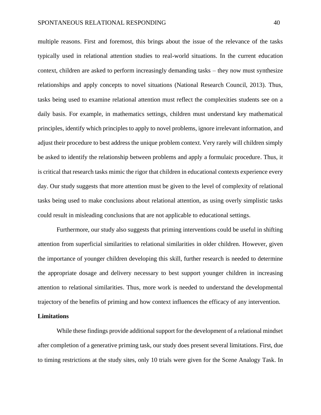multiple reasons. First and foremost, this brings about the issue of the relevance of the tasks typically used in relational attention studies to real-world situations. In the current education context, children are asked to perform increasingly demanding tasks – they now must synthesize relationships and apply concepts to novel situations (National Research Council, 2013). Thus, tasks being used to examine relational attention must reflect the complexities students see on a daily basis. For example, in mathematics settings, children must understand key mathematical principles, identify which principles to apply to novel problems, ignore irrelevant information, and adjust their procedure to best address the unique problem context. Very rarely will children simply be asked to identify the relationship between problems and apply a formulaic procedure. Thus, it is critical that research tasks mimic the rigor that children in educational contexts experience every day. Our study suggests that more attention must be given to the level of complexity of relational tasks being used to make conclusions about relational attention, as using overly simplistic tasks could result in misleading conclusions that are not applicable to educational settings.

Furthermore, our study also suggests that priming interventions could be useful in shifting attention from superficial similarities to relational similarities in older children. However, given the importance of younger children developing this skill, further research is needed to determine the appropriate dosage and delivery necessary to best support younger children in increasing attention to relational similarities. Thus, more work is needed to understand the developmental trajectory of the benefits of priming and how context influences the efficacy of any intervention.

#### **Limitations**

While these findings provide additional support for the development of a relational mindset after completion of a generative priming task, our study does present several limitations. First, due to timing restrictions at the study sites, only 10 trials were given for the Scene Analogy Task. In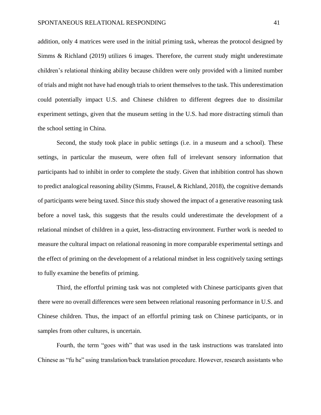addition, only 4 matrices were used in the initial priming task, whereas the protocol designed by Simms & Richland (2019) utilizes 6 images. Therefore, the current study might underestimate children's relational thinking ability because children were only provided with a limited number of trials and might not have had enough trials to orient themselves to the task. This underestimation could potentially impact U.S. and Chinese children to different degrees due to dissimilar experiment settings, given that the museum setting in the U.S. had more distracting stimuli than the school setting in China.

Second, the study took place in public settings (i.e. in a museum and a school). These settings, in particular the museum, were often full of irrelevant sensory information that participants had to inhibit in order to complete the study. Given that inhibition control has shown to predict analogical reasoning ability (Simms, Frausel, & Richland, 2018), the cognitive demands of participants were being taxed. Since this study showed the impact of a generative reasoning task before a novel task, this suggests that the results could underestimate the development of a relational mindset of children in a quiet, less-distracting environment. Further work is needed to measure the cultural impact on relational reasoning in more comparable experimental settings and the effect of priming on the development of a relational mindset in less cognitively taxing settings to fully examine the benefits of priming.

Third, the effortful priming task was not completed with Chinese participants given that there were no overall differences were seen between relational reasoning performance in U.S. and Chinese children. Thus, the impact of an effortful priming task on Chinese participants, or in samples from other cultures, is uncertain.

Fourth, the term "goes with" that was used in the task instructions was translated into Chinese as "fu he" using translation/back translation procedure. However, research assistants who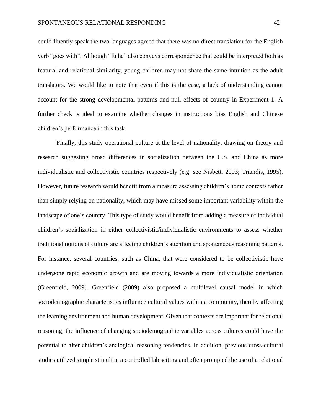could fluently speak the two languages agreed that there was no direct translation for the English verb "goes with". Although "fu he" also conveys correspondence that could be interpreted both as featural and relational similarity, young children may not share the same intuition as the adult translators. We would like to note that even if this is the case, a lack of understanding cannot account for the strong developmental patterns and null effects of country in Experiment 1. A further check is ideal to examine whether changes in instructions bias English and Chinese children's performance in this task.

Finally, this study operational culture at the level of nationality, drawing on theory and research suggesting broad differences in socialization between the U.S. and China as more individualistic and collectivistic countries respectively (e.g. see Nisbett, 2003; Triandis, 1995). However, future research would benefit from a measure assessing children's home contexts rather than simply relying on nationality, which may have missed some important variability within the landscape of one's country. This type of study would benefit from adding a measure of individual children's socialization in either collectivistic/individualistic environments to assess whether traditional notions of culture are affecting children's attention and spontaneous reasoning patterns. For instance, several countries, such as China, that were considered to be collectivistic have undergone rapid economic growth and are moving towards a more individualistic orientation (Greenfield, 2009). Greenfield (2009) also proposed a multilevel causal model in which sociodemographic characteristics influence cultural values within a community, thereby affecting the learning environment and human development. Given that contexts are important for relational reasoning, the influence of changing sociodemographic variables across cultures could have the potential to alter children's analogical reasoning tendencies. In addition, previous cross-cultural studies utilized simple stimuli in a controlled lab setting and often prompted the use of a relational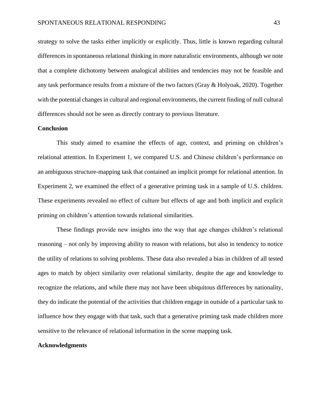strategy to solve the tasks either implicitly or explicitly. Thus, little is known regarding cultural differences in spontaneous relational thinking in more naturalistic environments, although we note that a complete dichotomy between analogical abilities and tendencies may not be feasible and any task performance results from a mixture of the two factors (Gray & Holyoak, 2020). Together with the potential changes in cultural and regional environments, the current finding of null cultural differences should not be seen as directly contrary to previous literature.

# **Conclusion**

This study aimed to examine the effects of age, context, and priming on children's relational attention. In Experiment 1, we compared U.S. and Chinese children's performance on an ambiguous structure-mapping task that contained an implicit prompt for relational attention. In Experiment 2, we examined the effect of a generative priming task in a sample of U.S. children. These experiments revealed no effect of culture but effects of age and both implicit and explicit priming on children's attention towards relational similarities.

These findings provide new insights into the way that age changes children's relational reasoning – not only by improving ability to reason with relations, but also in tendency to notice the utility of relations to solving problems. These data also revealed a bias in children of all tested ages to match by object similarity over relational similarity, despite the age and knowledge to recognize the relations, and while there may not have been ubiquitous differences by nationality, they do indicate the potential of the activities that children engage in outside of a particular task to influence how they engage with that task, such that a generative priming task made children more sensitive to the relevance of relational information in the scene mapping task.

#### **Acknowledgments**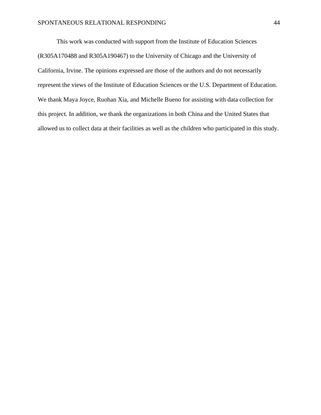This work was conducted with support from the Institute of Education Sciences (R305A170488 and R305A190467) to the University of Chicago and the University of California, Irvine. The opinions expressed are those of the authors and do not necessarily represent the views of the Institute of Education Sciences or the U.S. Department of Education. We thank Maya Joyce, Ruohan Xia, and Michelle Bueno for assisting with data collection for this project. In addition, we thank the organizations in both China and the United States that allowed us to collect data at their facilities as well as the children who participated in this study.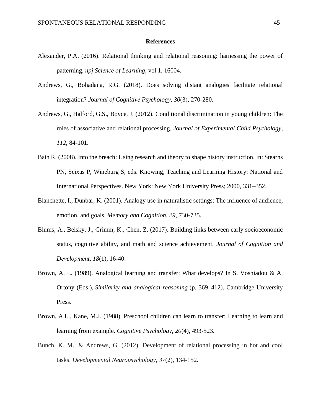#### **References**

- Alexander, P.A. (2016). Relational thinking and relational reasoning: harnessing the power of patterning, *npj Science of Learning,* vol 1, 16004.
- Andrews, G., Bohadana, R.G. (2018). Does solving distant analogies facilitate relational integration? *Journal of Cognitive Psychology, 30*(3), 270-280.
- Andrews, G., Halford, G.S., Boyce, J. (2012). Conditional discrimination in young children: The roles of associative and relational processing. *Journal of Experimental Child Psychology, 112*, 84-101.
- Bain R. (2008). Into the breach: Using research and theory to shape history instruction. In: Stearns PN, Seixas P, Wineburg S, eds. Knowing, Teaching and Learning History: National and International Perspectives. New York: New York University Press; 2000, 331–352.
- Blanchette, I., Dunbar, K. (2001). Analogy use in naturalistic settings: The influence of audience, emotion, and goals. *Memory and Cognition, 29*, 730-735.
- Blums, A., Belsky, J., Grimm, K., Chen, Z. (2017). Building links between early socioeconomic status, cognitive ability, and math and science achievement. *Journal of Cognition and Development, 18*(1), 16-40.
- Brown, A. L. (1989). Analogical learning and transfer: What develops? In S. Vosniadou & A. Ortony (Eds.), *Similarity and analogical reasoning* (p. 369–412). Cambridge University Press.
- Brown, A.L., Kane, M.J. (1988). Preschool children can learn to transfer: Learning to learn and learning from example. *Cognitive Psychology, 20*(4), 493-523.
- Bunch, K. M., & Andrews, G. (2012). Development of relational processing in hot and cool tasks. *Developmental Neuropsychology*, *37*(2), 134-152.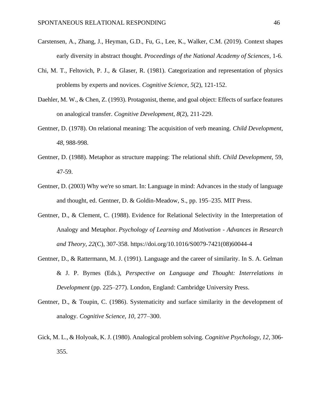- Carstensen, A., Zhang, J., Heyman, G.D., Fu, G., Lee, K., Walker, C.M. (2019). Context shapes early diversity in abstract thought. *Proceedings of the National Academy of Sciences*, 1-6.
- Chi, M. T., Feltovich, P. J., & Glaser, R. (1981). Categorization and representation of physics problems by experts and novices. *Cognitive Science*, *5*(2), 121-152.
- Daehler, M. W., & Chen, Z. (1993). Protagonist, theme, and goal object: Effects of surface features on analogical transfer. *Cognitive Development*, *8*(2), 211-229.
- Gentner, D. (1978). On relational meaning: The acquisition of verb meaning. *Child Development*, *48,* 988-998.
- Gentner, D. (1988). Metaphor as structure mapping: The relational shift. *Child Development*, 59, 47-59.
- Gentner, D. (2003) Why we're so smart. In: Language in mind: Advances in the study of language and thought, ed. Gentner, D. & Goldin-Meadow, S., pp. 195–235. MIT Press.
- Gentner, D., & Clement, C. (1988). Evidence for Relational Selectivity in the Interpretation of Analogy and Metaphor. *Psychology of Learning and Motivation - Advances in Research and Theory*, *22*(C), 307-358. https://doi.org/10.1016/S0079-7421(08)60044-4
- Gentner, D., & Rattermann, M. J. (1991). Language and the career of similarity. In S. A. Gelman & J. P. Byrnes (Eds.), *Perspective on Language and Thought: Interrelations in Development* (pp. 225–277). London, England: Cambridge University Press.
- Gentner, D., & Toupin, C. (1986). Systematicity and surface similarity in the development of analogy. *Cognitive Science, 10,* 277–300.
- Gick, M. L., & Holyoak, K. J. (1980). Analogical problem solving. *Cognitive Psychology, 12*, 306- 355.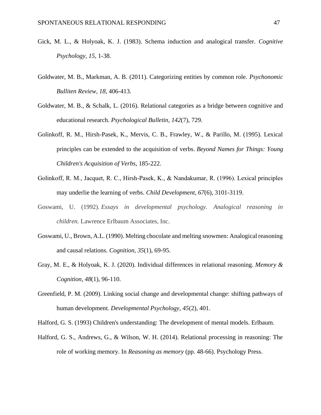- Gick, M. L., & Holyoak, K. J. (1983). Schema induction and analogical transfer. *Cognitive Psychology, 15*, 1-38.
- Goldwater, M. B., Markman, A. B. (2011). Categorizing entities by common role. *Psychonomic Bulliten Review, 18*, 406-413.
- Goldwater, M. B., & Schalk, L. (2016). Relational categories as a bridge between cognitive and educational research. *Psychological Bulletin*, *142*(7), 729.
- Golinkoff, R. M., Hirsh-Pasek, K., Mervis, C. B., Frawley, W., & Parillo, M. (1995). Lexical principles can be extended to the acquisition of verbs. *Beyond Names for Things: Young Children's Acquisition of Verbs*, 185-222.
- Golinkoff, R. M., Jacquet, R. C., Hirsh‐Pasek, K., & Nandakumar, R. (1996). Lexical principles may underlie the learning of verbs. *Child Development*, *67*(6), 3101-3119.
- Goswami, U. (1992). *Essays in developmental psychology. Analogical reasoning in children.* Lawrence Erlbaum Associates, Inc.
- Goswami, U., Brown, A.L. (1990). Melting chocolate and melting snowmen: Analogical reasoning and causal relations. *Cognition, 35*(1), 69-95.
- Gray, M. E., & Holyoak, K. J. (2020). Individual differences in relational reasoning. *Memory & Cognition*, *48*(1), 96-110.
- Greenfield, P. M. (2009). Linking social change and developmental change: shifting pathways of human development. *Developmental Psychology*, *45*(2), 401.

Halford, G. S. (1993) Children's understanding: The development of mental models. Erlbaum.

Halford, G. S., Andrews, G., & Wilson, W. H. (2014). Relational processing in reasoning: The role of working memory. In *Reasoning as memory* (pp. 48-66). Psychology Press.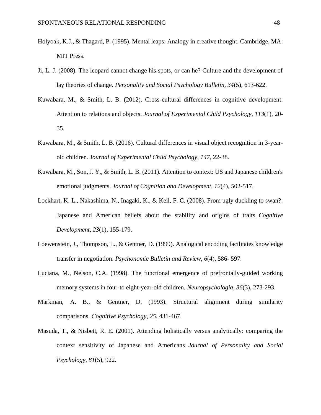- Holyoak, K.J., & Thagard, P. (1995). Mental leaps: Analogy in creative thought. Cambridge, MA: MIT Press.
- Ji, L. J. (2008). The leopard cannot change his spots, or can he? Culture and the development of lay theories of change. *Personality and Social Psychology Bulletin*, *34*(5), 613-622.
- Kuwabara, M., & Smith, L. B. (2012). Cross-cultural differences in cognitive development: Attention to relations and objects. *Journal of Experimental Child Psychology*, *113*(1), 20- 35.
- Kuwabara, M., & Smith, L. B. (2016). Cultural differences in visual object recognition in 3-yearold children. J*ournal of Experimental Child Psychology*, *147*, 22-38.
- Kuwabara, M., Son, J. Y., & Smith, L. B. (2011). Attention to context: US and Japanese children's emotional judgments. *Journal of Cognition and Development*, *12*(4), 502-517.
- Lockhart, K. L., Nakashima, N., Inagaki, K., & Keil, F. C. (2008). From ugly duckling to swan?: Japanese and American beliefs about the stability and origins of traits. *Cognitive Development*, *23*(1), 155-179.
- Loewenstein, J., Thompson, L., & Gentner, D. (1999). Analogical encoding facilitates knowledge transfer in negotiation. *Psychonomic Bulletin and Review*, *6*(4), 586- 597.
- Luciana, M., Nelson, C.A. (1998). The functional emergence of prefrontally-guided working memory systems in four-to eight-year-old children. *Neuropsychologia, 36*(3), 273-293.
- Markman, A. B., & Gentner, D. (1993). Structural alignment during similarity comparisons. *Cognitive Psychology*, *25*, 431-467.
- Masuda, T., & Nisbett, R. E. (2001). Attending holistically versus analytically: comparing the context sensitivity of Japanese and Americans. *Journal of Personality and Social Psychology*, *81*(5), 922.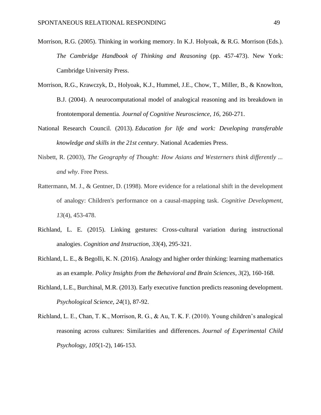- Morrison, R.G. (2005). Thinking in working memory. In K.J. Holyoak, & R.G. Morrison (Eds.). *The Cambridge Handbook of Thinking and Reasoning* (pp. 457-473). New York: Cambridge University Press.
- Morrison, R.G., Krawczyk, D., Holyoak, K.J., Hummel, J.E., Chow, T., Miller, B., & Knowlton, B.J. (2004). A neurocomputational model of analogical reasoning and its breakdown in frontotemporal dementia. *Journal of Cognitive Neuroscience, 16,* 260-271.
- National Research Council. (2013). *Education for life and work: Developing transferable knowledge and skills in the 21st century*. National Academies Press.
- Nisbett, R. (2003), *The Geography of Thought: How Asians and Westerners think differently ... and why*. Free Press.
- Rattermann, M. J., & Gentner, D. (1998). More evidence for a relational shift in the development of analogy: Children's performance on a causal-mapping task. *Cognitive Development*, *13*(4), 453-478.
- Richland, L. E. (2015). Linking gestures: Cross-cultural variation during instructional analogies. *Cognition and Instruction*, *33*(4), 295-321.
- Richland, L. E., & Begolli, K. N. (2016). Analogy and higher order thinking: learning mathematics as an example. *Policy Insights from the Behavioral and Brain Sciences*, *3*(2), 160-168.
- Richland, L.E., Burchinal, M.R. (2013). Early executive function predicts reasoning development. *Psychological Science, 24*(1), 87-92.
- Richland, L. E., Chan, T. K., Morrison, R. G., & Au, T. K. F. (2010). Young children's analogical reasoning across cultures: Similarities and differences. *Journal of Experimental Child Psychology*, *105*(1-2), 146-153.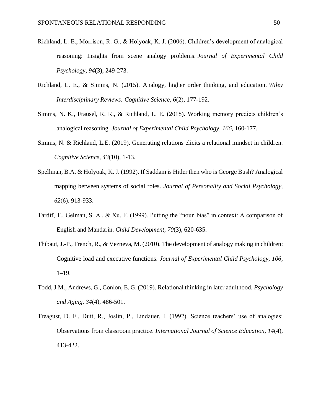- Richland, L. E., Morrison, R. G., & Holyoak, K. J. (2006). Children's development of analogical reasoning: Insights from scene analogy problems. *Journal of Experimental Child Psychology*, *94*(3), 249-273.
- Richland, L. E., & Simms, N. (2015). Analogy, higher order thinking, and education. *Wiley Interdisciplinary Reviews: Cognitive Science*, *6*(2), 177-192.
- Simms, N. K., Frausel, R. R., & Richland, L. E. (2018). Working memory predicts children's analogical reasoning. *Journal of Experimental Child Psychology*, *166*, 160-177.
- Simms, N. & Richland, L.E. (2019). Generating relations elicits a relational mindset in children. *Cognitive Science, 43*(10), 1-13.
- Spellman, B.A. & Holyoak, K. J. (1992). If Saddam is Hitler then who is George Bush? Analogical mapping between systems of social roles. *Journal of Personality and Social Psychology, 62*(6)*,* 913-933.
- Tardif, T., Gelman, S. A., & Xu, F. (1999). Putting the "noun bias" in context: A comparison of English and Mandarin. *Child Development*, *70*(3), 620-635.
- Thibaut, J.-P., French, R., & Vezneva, M. (2010). The development of analogy making in children: Cognitive load and executive functions. *Journal of Experimental Child Psychology, 106,* 1–19.
- Todd, J.M., Andrews, G., Conlon, E. G. (2019). Relational thinking in later adulthood. *Psychology and Aging, 34*(4), 486-501.
- Treagust, D. F., Duit, R., Joslin, P., Lindauer, I. (1992). Science teachers' use of analogies: Observations from classroom practice. *International Journal of Science Education, 14*(4), 413-422.